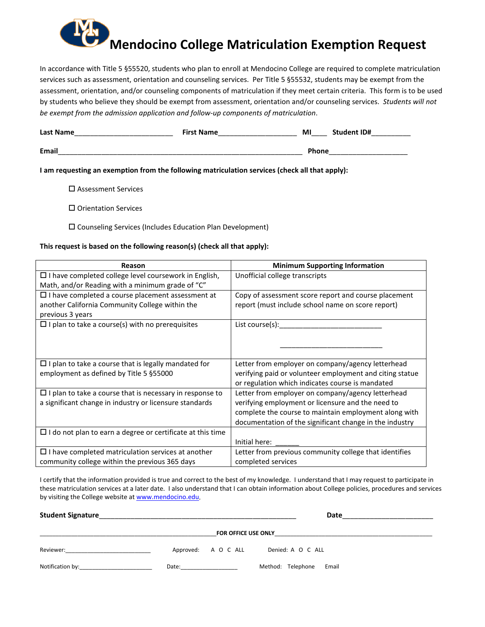## **Mendocino College Matriculation Exemption Request**

In accordance with Title 5 §55520, students who plan to enroll at Mendocino College are required to complete matriculation services such as assessment, orientation and counseling services. Per Title 5 §55532, students may be exempt from the assessment, orientation, and/or counseling components of matriculation if they meet certain criteria. This form is to be used by students who believe they should be exempt from assessment, orientation and/or counseling services. *Students will not be exempt from the admission application and follow-up components of matriculation*.

| <b>Last Name</b> | <b>First Name</b> | MI           | <b>Student ID#</b> |
|------------------|-------------------|--------------|--------------------|
| <b>Email</b>     |                   | <b>Phone</b> |                    |

**I am requesting an exemption from the following matriculation services (check all that apply):**

- Assessment Services
- Orientation Services
- Counseling Services (Includes Education Plan Development)

## **This request is based on the following reason(s) (check all that apply):**

| Reason                                                            | <b>Minimum Supporting Information</b>                    |
|-------------------------------------------------------------------|----------------------------------------------------------|
| □ I have completed college level coursework in English,           | Unofficial college transcripts                           |
| Math, and/or Reading with a minimum grade of "C"                  |                                                          |
| $\Box$ I have completed a course placement assessment at          | Copy of assessment score report and course placement     |
| another California Community College within the                   | report (must include school name on score report)        |
| previous 3 years                                                  |                                                          |
| $\Box$ I plan to take a course(s) with no prerequisites           | List course(s):                                          |
|                                                                   |                                                          |
|                                                                   |                                                          |
|                                                                   |                                                          |
| $\Box$ I plan to take a course that is legally mandated for       | Letter from employer on company/agency letterhead        |
| employment as defined by Title 5 §55000                           | verifying paid or volunteer employment and citing statue |
|                                                                   | or regulation which indicates course is mandated         |
| $\Box$ I plan to take a course that is necessary in response to   | Letter from employer on company/agency letterhead        |
| a significant change in industry or licensure standards           | verifying employment or licensure and the need to        |
|                                                                   | complete the course to maintain employment along with    |
|                                                                   | documentation of the significant change in the industry  |
| $\Box$ I do not plan to earn a degree or certificate at this time |                                                          |
|                                                                   | Initial here:                                            |
| $\Box$ I have completed matriculation services at another         | Letter from previous community college that identifies   |
| community college within the previous 365 days                    | completed services                                       |

I certify that the information provided is true and correct to the best of my knowledge. I understand that I may request to participate in these matriculation services at a later date. I also understand that I can obtain information about College policies, procedures and services by visiting the College website at www.mendocino.edu.

| <b>Student Signature</b><br><u> 1989 - Johann John Stone, Amerikaansk politiker (* 1908)</u> |                                                                                                                                                                                                                                | Date                       |  |  |  |
|----------------------------------------------------------------------------------------------|--------------------------------------------------------------------------------------------------------------------------------------------------------------------------------------------------------------------------------|----------------------------|--|--|--|
| FOR OFFICE USE ONLY                                                                          |                                                                                                                                                                                                                                |                            |  |  |  |
| Reviewer:                                                                                    | Approved: A O C ALL                                                                                                                                                                                                            | Denied: A O C ALL          |  |  |  |
| Notification by:                                                                             | Date: the contract of the contract of the contract of the contract of the contract of the contract of the contract of the contract of the contract of the contract of the contract of the contract of the contract of the cont | Method: Telephone<br>Email |  |  |  |